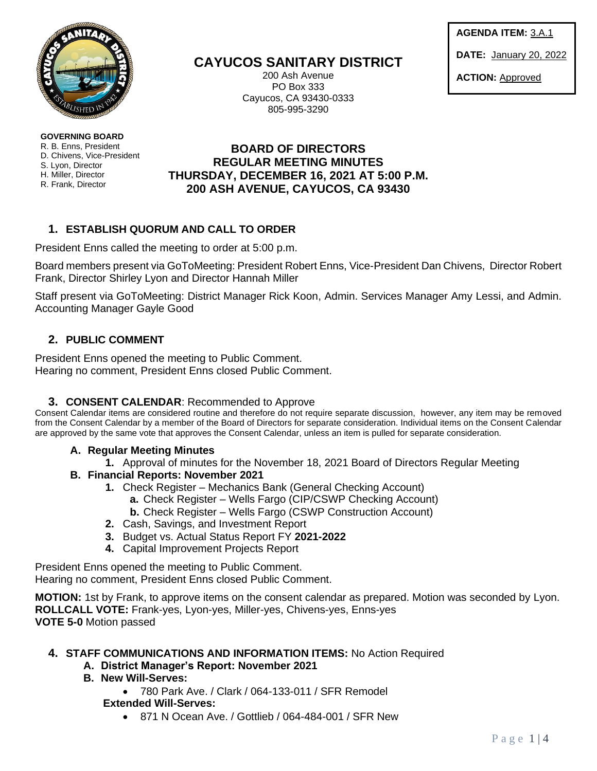

**GOVERNING BOARD**  R. B. Enns, President D. Chivens, Vice-President S. Lyon, Director H. Miller, Director R. Frank, Director

**CAYUCOS SANITARY DISTRICT**

200 Ash Avenue PO Box 333 Cayucos, CA 93430-0333 805-995-3290

**AGENDA ITEM:** 3.A.1

**DATE:** January 20, 2022

**ACTION:** Approved

# **BOARD OF DIRECTORS REGULAR MEETING MINUTES THURSDAY, DECEMBER 16, 2021 AT 5:00 P.M. 200 ASH AVENUE, CAYUCOS, CA 93430**

# **1. ESTABLISH QUORUM AND CALL TO ORDER**

President Enns called the meeting to order at 5:00 p.m.

Board members present via GoToMeeting: President Robert Enns, Vice-President Dan Chivens, Director Robert Frank, Director Shirley Lyon and Director Hannah Miller

Staff present via GoToMeeting: District Manager Rick Koon, Admin. Services Manager Amy Lessi, and Admin. Accounting Manager Gayle Good

# **2. PUBLIC COMMENT**

President Enns opened the meeting to Public Comment. Hearing no comment, President Enns closed Public Comment.

# **3. CONSENT CALENDAR**: Recommended to Approve

Consent Calendar items are considered routine and therefore do not require separate discussion, however, any item may be removed from the Consent Calendar by a member of the Board of Directors for separate consideration. Individual items on the Consent Calendar are approved by the same vote that approves the Consent Calendar, unless an item is pulled for separate consideration.

### **A. Regular Meeting Minutes**

- **1.** Approval of minutes for the November 18, 2021 Board of Directors Regular Meeting
- **B. Financial Reports: November 2021**
	- **1.** Check Register Mechanics Bank (General Checking Account)
		- **a.** Check Register Wells Fargo (CIP/CSWP Checking Account)
		- **b.** Check Register Wells Fargo (CSWP Construction Account)
	- **2.** Cash, Savings, and Investment Report
	- **3.** Budget vs. Actual Status Report FY **2021-2022**
	- **4.** Capital Improvement Projects Report

President Enns opened the meeting to Public Comment. Hearing no comment, President Enns closed Public Comment.

**MOTION:** 1st by Frank, to approve items on the consent calendar as prepared. Motion was seconded by Lyon. **ROLLCALL VOTE:** Frank-yes, Lyon-yes, Miller-yes, Chivens-yes, Enns-yes **VOTE 5-0** Motion passed

# **4. STAFF COMMUNICATIONS AND INFORMATION ITEMS:** No Action Required

- **A. District Manager's Report: November 2021**
- **B. New Will-Serves:**
	- 780 Park Ave. / Clark / 064-133-011 / SFR Remodel

# **Extended Will-Serves:**

• 871 N Ocean Ave. / Gottlieb / 064-484-001 / SFR New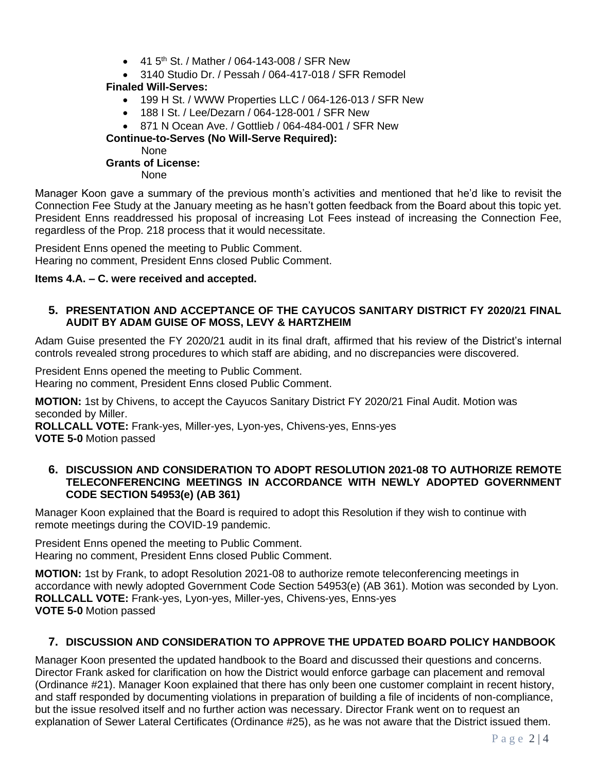- 41.5<sup>th</sup> St. / Mather / 064-143-008 / SFR New
- 3140 Studio Dr. / Pessah / 064-417-018 / SFR Remodel

### **Finaled Will-Serves:**

- 199 H St. / WWW Properties LLC / 064-126-013 / SFR New
- 188 I St. / Lee/Dezarn / 064-128-001 / SFR New

• 871 N Ocean Ave. / Gottlieb / 064-484-001 / SFR New

 **Continue-to-Serves (No Will-Serve Required):**

None

### **Grants of License:**

None

Manager Koon gave a summary of the previous month's activities and mentioned that he'd like to revisit the Connection Fee Study at the January meeting as he hasn't gotten feedback from the Board about this topic yet. President Enns readdressed his proposal of increasing Lot Fees instead of increasing the Connection Fee, regardless of the Prop. 218 process that it would necessitate.

President Enns opened the meeting to Public Comment. Hearing no comment, President Enns closed Public Comment.

### **Items 4.A. – C. were received and accepted.**

### **5. PRESENTATION AND ACCEPTANCE OF THE CAYUCOS SANITARY DISTRICT FY 2020/21 FINAL AUDIT BY ADAM GUISE OF MOSS, LEVY & HARTZHEIM**

Adam Guise presented the FY 2020/21 audit in its final draft, affirmed that his review of the District's internal controls revealed strong procedures to which staff are abiding, and no discrepancies were discovered.

President Enns opened the meeting to Public Comment. Hearing no comment, President Enns closed Public Comment.

**MOTION:** 1st by Chivens, to accept the Cayucos Sanitary District FY 2020/21 Final Audit. Motion was seconded by Miller.

**ROLLCALL VOTE:** Frank-yes, Miller-yes, Lyon-yes, Chivens-yes, Enns-yes **VOTE 5-0** Motion passed

#### **6. DISCUSSION AND CONSIDERATION TO ADOPT RESOLUTION 2021-08 TO AUTHORIZE REMOTE TELECONFERENCING MEETINGS IN ACCORDANCE WITH NEWLY ADOPTED GOVERNMENT CODE SECTION 54953(e) (AB 361)**

Manager Koon explained that the Board is required to adopt this Resolution if they wish to continue with remote meetings during the COVID-19 pandemic.

President Enns opened the meeting to Public Comment. Hearing no comment, President Enns closed Public Comment.

**MOTION:** 1st by Frank, to adopt Resolution 2021-08 to authorize remote teleconferencing meetings in accordance with newly adopted Government Code Section 54953(e) (AB 361). Motion was seconded by Lyon. **ROLLCALL VOTE:** Frank-yes, Lyon-yes, Miller-yes, Chivens-yes, Enns-yes **VOTE 5-0** Motion passed

# **7. DISCUSSION AND CONSIDERATION TO APPROVE THE UPDATED BOARD POLICY HANDBOOK**

Manager Koon presented the updated handbook to the Board and discussed their questions and concerns. Director Frank asked for clarification on how the District would enforce garbage can placement and removal (Ordinance #21). Manager Koon explained that there has only been one customer complaint in recent history, and staff responded by documenting violations in preparation of building a file of incidents of non-compliance, but the issue resolved itself and no further action was necessary. Director Frank went on to request an explanation of Sewer Lateral Certificates (Ordinance #25), as he was not aware that the District issued them.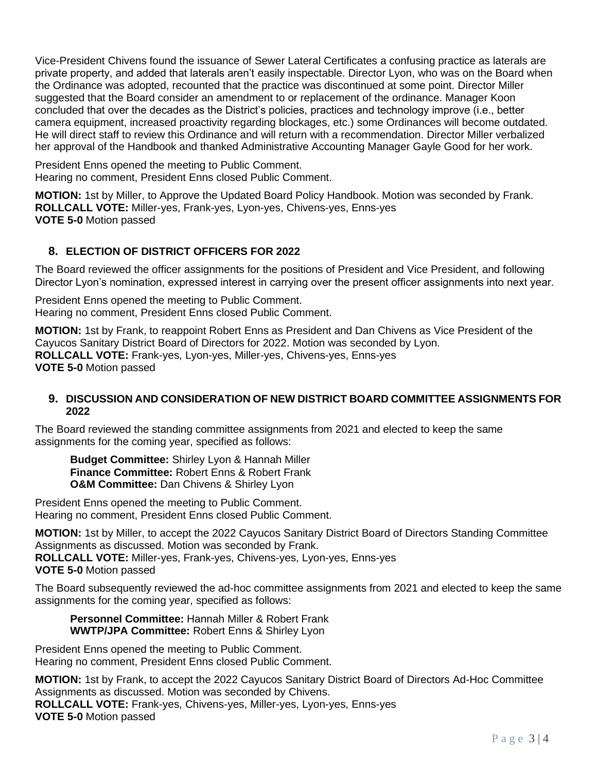Vice-President Chivens found the issuance of Sewer Lateral Certificates a confusing practice as laterals are private property, and added that laterals aren't easily inspectable. Director Lyon, who was on the Board when the Ordinance was adopted, recounted that the practice was discontinued at some point. Director Miller suggested that the Board consider an amendment to or replacement of the ordinance. Manager Koon concluded that over the decades as the District's policies, practices and technology improve (i.e., better camera equipment, increased proactivity regarding blockages, etc.) some Ordinances will become outdated. He will direct staff to review this Ordinance and will return with a recommendation. Director Miller verbalized her approval of the Handbook and thanked Administrative Accounting Manager Gayle Good for her work.

President Enns opened the meeting to Public Comment. Hearing no comment, President Enns closed Public Comment.

**MOTION:** 1st by Miller, to Approve the Updated Board Policy Handbook. Motion was seconded by Frank. **ROLLCALL VOTE:** Miller-yes, Frank-yes, Lyon-yes, Chivens-yes, Enns-yes **VOTE 5-0** Motion passed

# **8. ELECTION OF DISTRICT OFFICERS FOR 2022**

The Board reviewed the officer assignments for the positions of President and Vice President, and following Director Lyon's nomination, expressed interest in carrying over the present officer assignments into next year.

President Enns opened the meeting to Public Comment. Hearing no comment, President Enns closed Public Comment.

**MOTION:** 1st by Frank, to reappoint Robert Enns as President and Dan Chivens as Vice President of the Cayucos Sanitary District Board of Directors for 2022. Motion was seconded by Lyon. **ROLLCALL VOTE:** Frank-yes, Lyon-yes, Miller-yes, Chivens-yes, Enns-yes **VOTE 5-0** Motion passed

#### **9. DISCUSSION AND CONSIDERATION OF NEW DISTRICT BOARD COMMITTEE ASSIGNMENTS FOR 2022**

The Board reviewed the standing committee assignments from 2021 and elected to keep the same assignments for the coming year, specified as follows:

**Budget Committee:** Shirley Lyon & Hannah Miller **Finance Committee:** Robert Enns & Robert Frank **O&M Committee:** Dan Chivens & Shirley Lyon

President Enns opened the meeting to Public Comment. Hearing no comment, President Enns closed Public Comment.

**MOTION:** 1st by Miller, to accept the 2022 Cayucos Sanitary District Board of Directors Standing Committee Assignments as discussed. Motion was seconded by Frank. **ROLLCALL VOTE:** Miller-yes, Frank-yes, Chivens-yes, Lyon-yes, Enns-yes **VOTE 5-0** Motion passed

The Board subsequently reviewed the ad-hoc committee assignments from 2021 and elected to keep the same assignments for the coming year, specified as follows:

**Personnel Committee:** Hannah Miller & Robert Frank **WWTP/JPA Committee:** Robert Enns & Shirley Lyon

President Enns opened the meeting to Public Comment. Hearing no comment, President Enns closed Public Comment.

**MOTION:** 1st by Frank, to accept the 2022 Cayucos Sanitary District Board of Directors Ad-Hoc Committee Assignments as discussed. Motion was seconded by Chivens. **ROLLCALL VOTE:** Frank-yes, Chivens-yes, Miller-yes, Lyon-yes, Enns-yes **VOTE 5-0** Motion passed